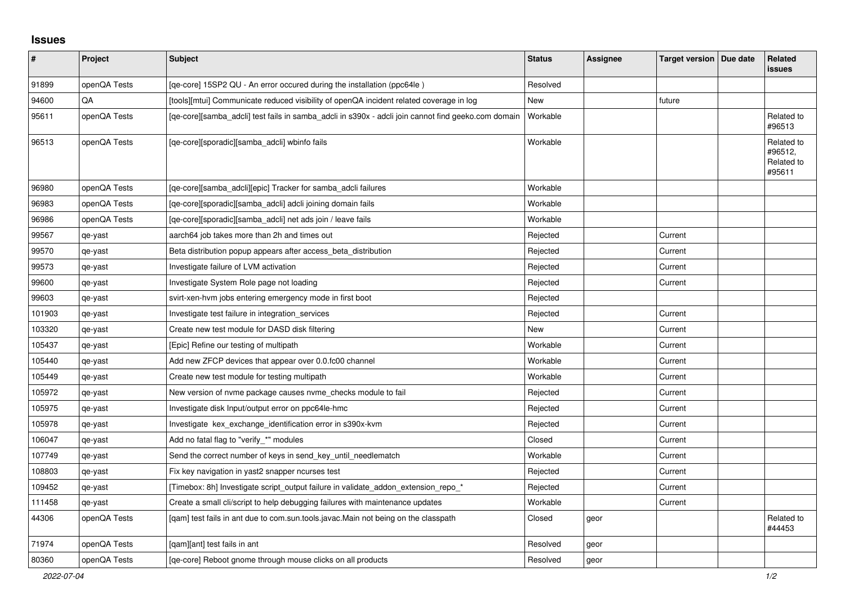## **Issues**

| ∦      | Project      | Subject                                                                                             | <b>Status</b> | <b>Assignee</b> | Target version   Due date | <b>Related</b><br><b>issues</b>               |
|--------|--------------|-----------------------------------------------------------------------------------------------------|---------------|-----------------|---------------------------|-----------------------------------------------|
| 91899  | openQA Tests | [qe-core] 15SP2 QU - An error occured during the installation (ppc64le)                             | Resolved      |                 |                           |                                               |
| 94600  | QA           | [tools][mtui] Communicate reduced visibility of openQA incident related coverage in log             | New           |                 | future                    |                                               |
| 95611  | openQA Tests | [qe-core][samba_adcli] test fails in samba_adcli in s390x - adcli join cannot find geeko.com domain | Workable      |                 |                           | Related to<br>#96513                          |
| 96513  | openQA Tests | [qe-core][sporadic][samba_adcli] wbinfo fails                                                       | Workable      |                 |                           | Related to<br>#96512,<br>Related to<br>#95611 |
| 96980  | openQA Tests | [qe-core][samba_adcli][epic] Tracker for samba_adcli failures                                       | Workable      |                 |                           |                                               |
| 96983  | openQA Tests | [qe-core][sporadic][samba_adcli] adcli joining domain fails                                         | Workable      |                 |                           |                                               |
| 96986  | openQA Tests | [qe-core][sporadic][samba_adcli] net ads join / leave fails                                         | Workable      |                 |                           |                                               |
| 99567  | qe-yast      | aarch64 job takes more than 2h and times out                                                        | Rejected      |                 | Current                   |                                               |
| 99570  | qe-yast      | Beta distribution popup appears after access beta distribution                                      | Rejected      |                 | Current                   |                                               |
| 99573  | qe-yast      | Investigate failure of LVM activation                                                               | Rejected      |                 | Current                   |                                               |
| 99600  | qe-yast      | Investigate System Role page not loading                                                            | Rejected      |                 | Current                   |                                               |
| 99603  | qe-yast      | svirt-xen-hvm jobs entering emergency mode in first boot                                            | Rejected      |                 |                           |                                               |
| 101903 | qe-yast      | Investigate test failure in integration_services                                                    | Rejected      |                 | Current                   |                                               |
| 103320 | qe-yast      | Create new test module for DASD disk filtering                                                      | New           |                 | Current                   |                                               |
| 105437 | qe-yast      | [Epic] Refine our testing of multipath                                                              | Workable      |                 | Current                   |                                               |
| 105440 | qe-yast      | Add new ZFCP devices that appear over 0.0.fc00 channel                                              | Workable      |                 | Current                   |                                               |
| 105449 | qe-yast      | Create new test module for testing multipath                                                        | Workable      |                 | Current                   |                                               |
| 105972 | qe-yast      | New version of nyme package causes nyme checks module to fail                                       | Rejected      |                 | Current                   |                                               |
| 105975 | qe-yast      | Investigate disk Input/output error on ppc64le-hmc                                                  | Rejected      |                 | Current                   |                                               |
| 105978 | qe-yast      | Investigate kex_exchange_identification error in s390x-kvm                                          | Rejected      |                 | Current                   |                                               |
| 106047 | qe-yast      | Add no fatal flag to "verify_*" modules                                                             | Closed        |                 | Current                   |                                               |
| 107749 | qe-yast      | Send the correct number of keys in send_key_until_needlematch                                       | Workable      |                 | Current                   |                                               |
| 108803 | qe-yast      | Fix key navigation in yast2 snapper ncurses test                                                    | Rejected      |                 | Current                   |                                               |
| 109452 | qe-yast      | [Timebox: 8h] Investigate script_output failure in validate_addon_extension_repo_*                  | Rejected      |                 | Current                   |                                               |
| 111458 | qe-yast      | Create a small cli/script to help debugging failures with maintenance updates                       | Workable      |                 | Current                   |                                               |
| 44306  | openQA Tests | [qam] test fails in ant due to com.sun.tools.javac.Main not being on the classpath                  | Closed        | geor            |                           | Related to<br>#44453                          |
| 71974  | openQA Tests | [qam][ant] test fails in ant                                                                        | Resolved      | geor            |                           |                                               |
| 80360  | openQA Tests | [ge-core] Reboot gnome through mouse clicks on all products                                         | Resolved      | geor            |                           |                                               |